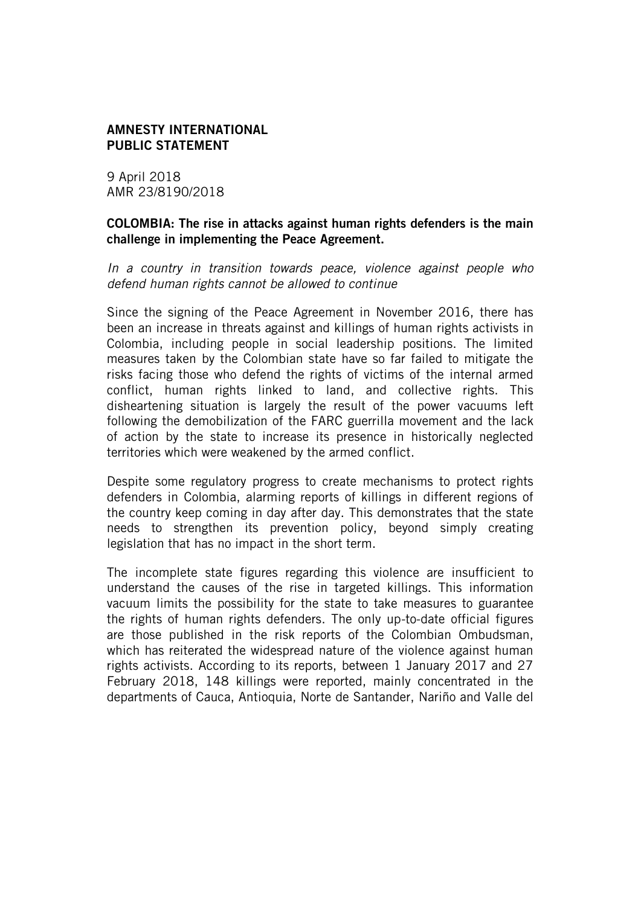#### AMNESTY INTERNATIONAL PUBLIC STATEMENT

9 April 2018 AMR 23/8190/2018

### COLOMBIA: The rise in attacks against human rights defenders is the main challenge in implementing the Peace Agreement.

*In a country in transition towards peace, violence against people who defend human rights cannot be allowed to continue*

Since the signing of the Peace Agreement in November 2016, there has been an increase in threats against and killings of human rights activists in Colombia, including people in social leadership positions. The limited measures taken by the Colombian state have so far failed to mitigate the risks facing those who defend the rights of victims of the internal armed conflict, human rights linked to land, and collective rights. This disheartening situation is largely the result of the power vacuums left following the demobilization of the FARC guerrilla movement and the lack of action by the state to increase its presence in historically neglected territories which were weakened by the armed conflict.

Despite some regulatory progress to create mechanisms to protect rights defenders in Colombia, alarming reports of killings in different regions of the country keep coming in day after day. This demonstrates that the state needs to strengthen its prevention policy, beyond simply creating legislation that has no impact in the short term.

The incomplete state figures regarding this violence are insufficient to understand the causes of the rise in targeted killings. This information vacuum limits the possibility for the state to take measures to guarantee the rights of human rights defenders. The only up-to-date official figures are those published in the risk reports of the Colombian Ombudsman, which has reiterated the widespread nature of the violence against human rights activists. According to its reports, between 1 January 2017 and 27 February 2018, 148 killings were reported, mainly concentrated in the departments of Cauca, Antioquia, Norte de Santander, Nariño and Valle del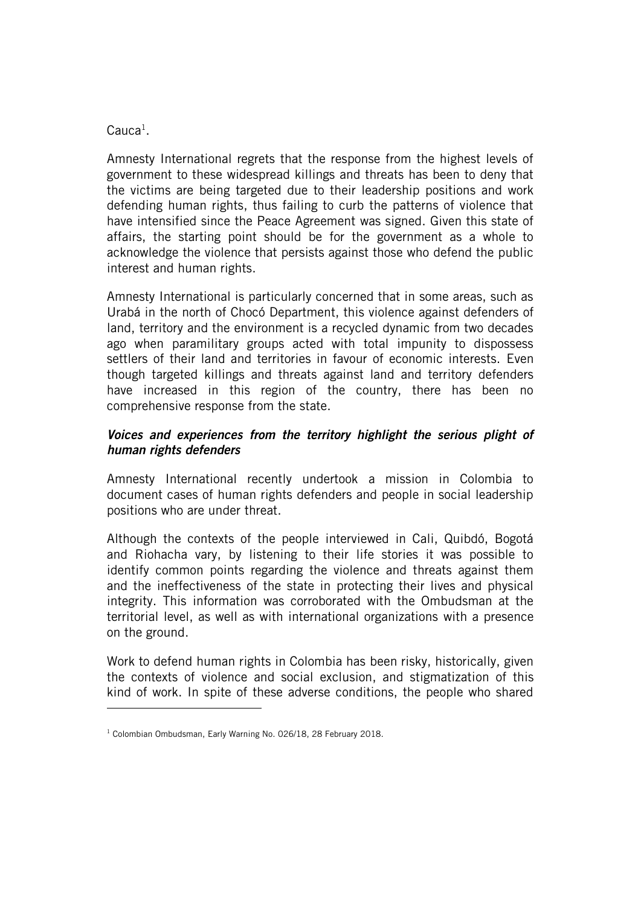# $\mathsf{C}$ auca $^1$ .

ł

Amnesty International regrets that the response from the highest levels of government to these widespread killings and threats has been to deny that the victims are being targeted due to their leadership positions and work defending human rights, thus failing to curb the patterns of violence that have intensified since the Peace Agreement was signed. Given this state of affairs, the starting point should be for the government as a whole to acknowledge the violence that persists against those who defend the public interest and human rights.

Amnesty International is particularly concerned that in some areas, such as Urabá in the north of Chocó Department, this violence against defenders of land, territory and the environment is a recycled dynamic from two decades ago when paramilitary groups acted with total impunity to dispossess settlers of their land and territories in favour of economic interests. Even though targeted killings and threats against land and territory defenders have increased in this region of the country, there has been no comprehensive response from the state.

# *Voices and experiences from the territory highlight the serious plight of human rights defenders*

Amnesty International recently undertook a mission in Colombia to document cases of human rights defenders and people in social leadership positions who are under threat.

Although the contexts of the people interviewed in Cali, Quibdó, Bogotá and Riohacha vary, by listening to their life stories it was possible to identify common points regarding the violence and threats against them and the ineffectiveness of the state in protecting their lives and physical integrity. This information was corroborated with the Ombudsman at the territorial level, as well as with international organizations with a presence on the ground.

Work to defend human rights in Colombia has been risky, historically, given the contexts of violence and social exclusion, and stigmatization of this kind of work. In spite of these adverse conditions, the people who shared

<sup>&</sup>lt;sup>1</sup> Colombian Ombudsman, Early Warning No. 026/18, 28 February 2018.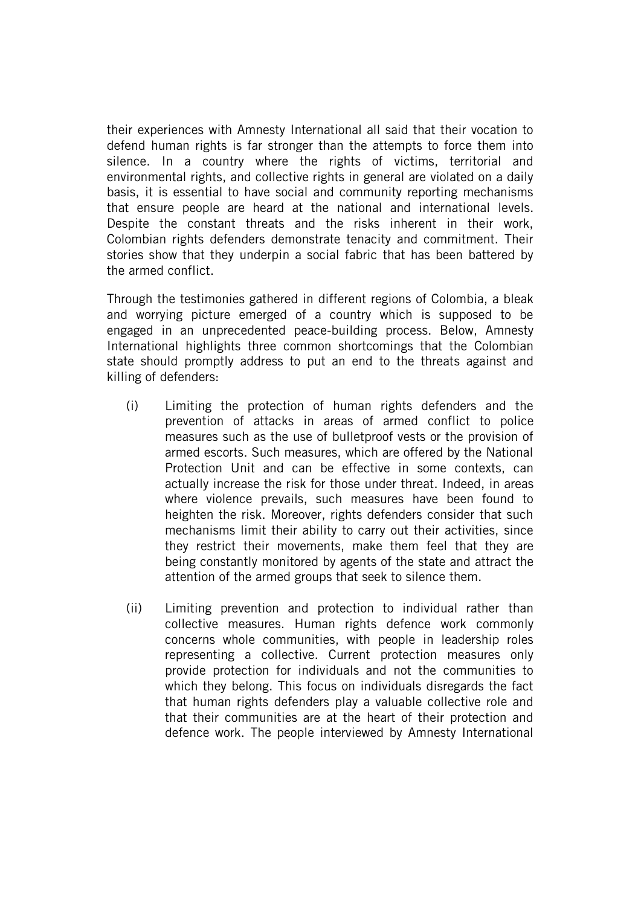their experiences with Amnesty International all said that their vocation to defend human rights is far stronger than the attempts to force them into silence. In a country where the rights of victims, territorial and environmental rights, and collective rights in general are violated on a daily basis, it is essential to have social and community reporting mechanisms that ensure people are heard at the national and international levels. Despite the constant threats and the risks inherent in their work, Colombian rights defenders demonstrate tenacity and commitment. Their stories show that they underpin a social fabric that has been battered by the armed conflict.

Through the testimonies gathered in different regions of Colombia, a bleak and worrying picture emerged of a country which is supposed to be engaged in an unprecedented peace-building process. Below, Amnesty International highlights three common shortcomings that the Colombian state should promptly address to put an end to the threats against and killing of defenders:

- (i) Limiting the protection of human rights defenders and the prevention of attacks in areas of armed conflict to police measures such as the use of bulletproof vests or the provision of armed escorts. Such measures, which are offered by the National Protection Unit and can be effective in some contexts, can actually increase the risk for those under threat. Indeed, in areas where violence prevails, such measures have been found to heighten the risk. Moreover, rights defenders consider that such mechanisms limit their ability to carry out their activities, since they restrict their movements, make them feel that they are being constantly monitored by agents of the state and attract the attention of the armed groups that seek to silence them.
- (ii) Limiting prevention and protection to individual rather than collective measures. Human rights defence work commonly concerns whole communities, with people in leadership roles representing a collective. Current protection measures only provide protection for individuals and not the communities to which they belong. This focus on individuals disregards the fact that human rights defenders play a valuable collective role and that their communities are at the heart of their protection and defence work. The people interviewed by Amnesty International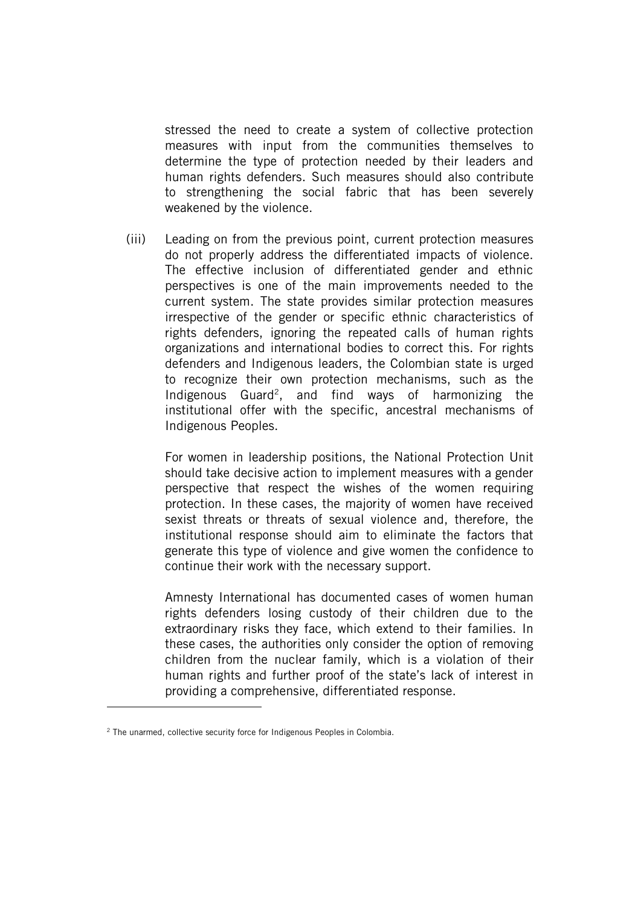stressed the need to create a system of collective protection measures with input from the communities themselves to determine the type of protection needed by their leaders and human rights defenders. Such measures should also contribute to strengthening the social fabric that has been severely weakened by the violence.

(iii) Leading on from the previous point, current protection measures do not properly address the differentiated impacts of violence. The effective inclusion of differentiated gender and ethnic perspectives is one of the main improvements needed to the current system. The state provides similar protection measures irrespective of the gender or specific ethnic characteristics of rights defenders, ignoring the repeated calls of human rights organizations and international bodies to correct this. For rights defenders and Indigenous leaders, the Colombian state is urged to recognize their own protection mechanisms, such as the Indigenous  $Guard^2$ , and find ways of harmonizing the institutional offer with the specific, ancestral mechanisms of Indigenous Peoples.

For women in leadership positions, the National Protection Unit should take decisive action to implement measures with a gender perspective that respect the wishes of the women requiring protection. In these cases, the majority of women have received sexist threats or threats of sexual violence and, therefore, the institutional response should aim to eliminate the factors that generate this type of violence and give women the confidence to continue their work with the necessary support.

Amnesty International has documented cases of women human rights defenders losing custody of their children due to the extraordinary risks they face, which extend to their families. In these cases, the authorities only consider the option of removing children from the nuclear family, which is a violation of their human rights and further proof of the state's lack of interest in providing a comprehensive, differentiated response.

ł

<sup>&</sup>lt;sup>2</sup> The unarmed, collective security force for Indigenous Peoples in Colombia.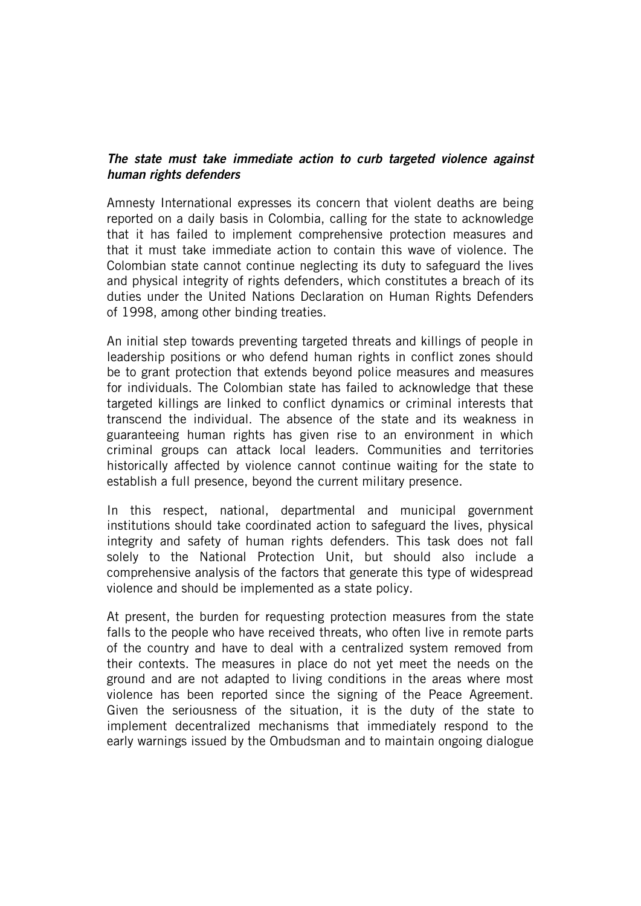# *The state must take immediate action to curb targeted violence against human rights defenders*

Amnesty International expresses its concern that violent deaths are being reported on a daily basis in Colombia, calling for the state to acknowledge that it has failed to implement comprehensive protection measures and that it must take immediate action to contain this wave of violence. The Colombian state cannot continue neglecting its duty to safeguard the lives and physical integrity of rights defenders, which constitutes a breach of its duties under the United Nations Declaration on Human Rights Defenders of 1998, among other binding treaties.

An initial step towards preventing targeted threats and killings of people in leadership positions or who defend human rights in conflict zones should be to grant protection that extends beyond police measures and measures for individuals. The Colombian state has failed to acknowledge that these targeted killings are linked to conflict dynamics or criminal interests that transcend the individual. The absence of the state and its weakness in guaranteeing human rights has given rise to an environment in which criminal groups can attack local leaders. Communities and territories historically affected by violence cannot continue waiting for the state to establish a full presence, beyond the current military presence.

In this respect, national, departmental and municipal government institutions should take coordinated action to safeguard the lives, physical integrity and safety of human rights defenders. This task does not fall solely to the National Protection Unit, but should also include a comprehensive analysis of the factors that generate this type of widespread violence and should be implemented as a state policy.

At present, the burden for requesting protection measures from the state falls to the people who have received threats, who often live in remote parts of the country and have to deal with a centralized system removed from their contexts. The measures in place do not yet meet the needs on the ground and are not adapted to living conditions in the areas where most violence has been reported since the signing of the Peace Agreement. Given the seriousness of the situation, it is the duty of the state to implement decentralized mechanisms that immediately respond to the early warnings issued by the Ombudsman and to maintain ongoing dialogue